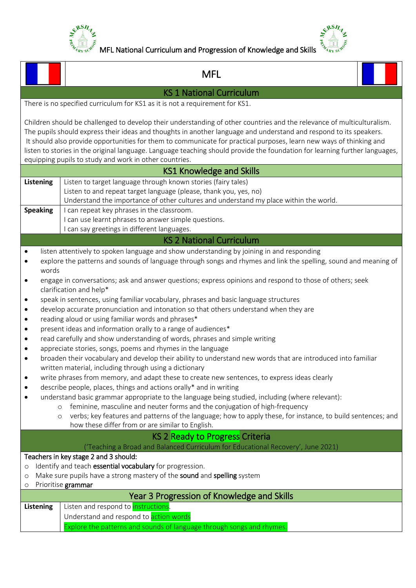



|                                                                                                                                                                                                                                                                                                                                                                                                                                                                                                                                                                                                                                                                                                                                                                                                                                                                                                                                                                                                                                                                                                                                                                                                                                                                                        | <b>MFL</b>                                                                                                                                                                                                                                                                                                                                                                                                                                                                                                                                                   |  |  |  |  |  |  |
|----------------------------------------------------------------------------------------------------------------------------------------------------------------------------------------------------------------------------------------------------------------------------------------------------------------------------------------------------------------------------------------------------------------------------------------------------------------------------------------------------------------------------------------------------------------------------------------------------------------------------------------------------------------------------------------------------------------------------------------------------------------------------------------------------------------------------------------------------------------------------------------------------------------------------------------------------------------------------------------------------------------------------------------------------------------------------------------------------------------------------------------------------------------------------------------------------------------------------------------------------------------------------------------|--------------------------------------------------------------------------------------------------------------------------------------------------------------------------------------------------------------------------------------------------------------------------------------------------------------------------------------------------------------------------------------------------------------------------------------------------------------------------------------------------------------------------------------------------------------|--|--|--|--|--|--|
| <b>KS 1 National Curriculum</b>                                                                                                                                                                                                                                                                                                                                                                                                                                                                                                                                                                                                                                                                                                                                                                                                                                                                                                                                                                                                                                                                                                                                                                                                                                                        |                                                                                                                                                                                                                                                                                                                                                                                                                                                                                                                                                              |  |  |  |  |  |  |
|                                                                                                                                                                                                                                                                                                                                                                                                                                                                                                                                                                                                                                                                                                                                                                                                                                                                                                                                                                                                                                                                                                                                                                                                                                                                                        | There is no specified curriculum for KS1 as it is not a requirement for KS1.                                                                                                                                                                                                                                                                                                                                                                                                                                                                                 |  |  |  |  |  |  |
|                                                                                                                                                                                                                                                                                                                                                                                                                                                                                                                                                                                                                                                                                                                                                                                                                                                                                                                                                                                                                                                                                                                                                                                                                                                                                        | Children should be challenged to develop their understanding of other countries and the relevance of multiculturalism.<br>The pupils should express their ideas and thoughts in another language and understand and respond to its speakers.<br>It should also provide opportunities for them to communicate for practical purposes, learn new ways of thinking and<br>listen to stories in the original language. Language teaching should provide the foundation for learning further languages,<br>equipping pupils to study and work in other countries. |  |  |  |  |  |  |
|                                                                                                                                                                                                                                                                                                                                                                                                                                                                                                                                                                                                                                                                                                                                                                                                                                                                                                                                                                                                                                                                                                                                                                                                                                                                                        | <b>KS1 Knowledge and Skills</b>                                                                                                                                                                                                                                                                                                                                                                                                                                                                                                                              |  |  |  |  |  |  |
| Listen to target language through known stories (fairy tales)<br><b>Listening</b><br>Listen to and repeat target language (please, thank you, yes, no)<br>Understand the importance of other cultures and understand my place within the world.<br><b>Speaking</b><br>I can repeat key phrases in the classroom.                                                                                                                                                                                                                                                                                                                                                                                                                                                                                                                                                                                                                                                                                                                                                                                                                                                                                                                                                                       |                                                                                                                                                                                                                                                                                                                                                                                                                                                                                                                                                              |  |  |  |  |  |  |
|                                                                                                                                                                                                                                                                                                                                                                                                                                                                                                                                                                                                                                                                                                                                                                                                                                                                                                                                                                                                                                                                                                                                                                                                                                                                                        | I can use learnt phrases to answer simple questions.                                                                                                                                                                                                                                                                                                                                                                                                                                                                                                         |  |  |  |  |  |  |
|                                                                                                                                                                                                                                                                                                                                                                                                                                                                                                                                                                                                                                                                                                                                                                                                                                                                                                                                                                                                                                                                                                                                                                                                                                                                                        | I can say greetings in different languages.<br><b>KS 2 National Curriculum</b>                                                                                                                                                                                                                                                                                                                                                                                                                                                                               |  |  |  |  |  |  |
|                                                                                                                                                                                                                                                                                                                                                                                                                                                                                                                                                                                                                                                                                                                                                                                                                                                                                                                                                                                                                                                                                                                                                                                                                                                                                        |                                                                                                                                                                                                                                                                                                                                                                                                                                                                                                                                                              |  |  |  |  |  |  |
| listen attentively to spoken language and show understanding by joining in and responding<br>$\bullet$<br>explore the patterns and sounds of language through songs and rhymes and link the spelling, sound and meaning of<br>$\bullet$<br>words<br>engage in conversations; ask and answer questions; express opinions and respond to those of others; seek<br>$\bullet$<br>clarification and help*<br>speak in sentences, using familiar vocabulary, phrases and basic language structures<br>٠<br>develop accurate pronunciation and intonation so that others understand when they are<br>$\bullet$<br>reading aloud or using familiar words and phrases*<br>$\bullet$<br>present ideas and information orally to a range of audiences*<br>٠<br>read carefully and show understanding of words, phrases and simple writing<br>$\bullet$<br>appreciate stories, songs, poems and rhymes in the language<br>$\bullet$<br>broaden their vocabulary and develop their ability to understand new words that are introduced into familiar<br>٠<br>written material, including through using a dictionary<br>write phrases from memory, and adapt these to create new sentences, to express ideas clearly<br>٠<br>describe people, places, things and actions orally* and in writing<br>٠ |                                                                                                                                                                                                                                                                                                                                                                                                                                                                                                                                                              |  |  |  |  |  |  |
| understand basic grammar appropriate to the language being studied, including (where relevant):<br>٠<br>feminine, masculine and neuter forms and the conjugation of high-frequency<br>$\circ$<br>verbs; key features and patterns of the language; how to apply these, for instance, to build sentences; and<br>$\circ$<br>how these differ from or are similar to English.                                                                                                                                                                                                                                                                                                                                                                                                                                                                                                                                                                                                                                                                                                                                                                                                                                                                                                            |                                                                                                                                                                                                                                                                                                                                                                                                                                                                                                                                                              |  |  |  |  |  |  |
| <b>KS 2 Ready to Progress Criteria</b>                                                                                                                                                                                                                                                                                                                                                                                                                                                                                                                                                                                                                                                                                                                                                                                                                                                                                                                                                                                                                                                                                                                                                                                                                                                 |                                                                                                                                                                                                                                                                                                                                                                                                                                                                                                                                                              |  |  |  |  |  |  |
| ('Teaching a Broad and Balanced Curriculum for Educational Recovery', June 2021)<br>Teachers in key stage 2 and 3 should:<br>Identify and teach essential vocabulary for progression.<br>$\circ$<br>Make sure pupils have a strong mastery of the sound and spelling system<br>$\circ$<br>Prioritise grammar<br>$\circ$                                                                                                                                                                                                                                                                                                                                                                                                                                                                                                                                                                                                                                                                                                                                                                                                                                                                                                                                                                |                                                                                                                                                                                                                                                                                                                                                                                                                                                                                                                                                              |  |  |  |  |  |  |
| <b>Listening</b>                                                                                                                                                                                                                                                                                                                                                                                                                                                                                                                                                                                                                                                                                                                                                                                                                                                                                                                                                                                                                                                                                                                                                                                                                                                                       | Year 3 Progression of Knowledge and Skills<br>Listen and respond to <i>instructions</i> .<br>Understand and respond to action words<br>Explore the patterns and sounds of language through songs and rhymes.                                                                                                                                                                                                                                                                                                                                                 |  |  |  |  |  |  |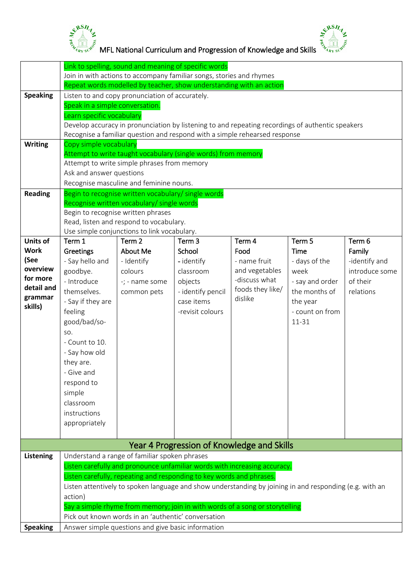



 $\frac{1}{2}$   $\frac{1}{2}$   $\frac{1}{2}$   $\frac{1}{2}$   $\frac{1}{2}$   $\frac{1}{2}$   $\frac{1}{2}$   $\frac{1}{2}$   $\frac{1}{2}$   $\frac{1}{2}$   $\frac{1}{2}$   $\frac{1}{2}$   $\frac{1}{2}$   $\frac{1}{2}$   $\frac{1}{2}$   $\frac{1}{2}$   $\frac{1}{2}$   $\frac{1}{2}$   $\frac{1}{2}$   $\frac{1}{2}$   $\frac{1}{2}$   $\frac{1}{2}$ 

|                  | Link to spelling, sound and meaning of specific words                                                   |                                                     |                                                                            |                             |                                                                                                  |                |
|------------------|---------------------------------------------------------------------------------------------------------|-----------------------------------------------------|----------------------------------------------------------------------------|-----------------------------|--------------------------------------------------------------------------------------------------|----------------|
|                  | Join in with actions to accompany familiar songs, stories and rhymes                                    |                                                     |                                                                            |                             |                                                                                                  |                |
|                  | Repeat words modelled by teacher, show understanding with an action                                     |                                                     |                                                                            |                             |                                                                                                  |                |
| <b>Speaking</b>  |                                                                                                         | Listen to and copy pronunciation of accurately.     |                                                                            |                             |                                                                                                  |                |
|                  | Speak in a simple conversation.                                                                         |                                                     |                                                                            |                             |                                                                                                  |                |
|                  | Learn specific vocabulary                                                                               |                                                     |                                                                            |                             |                                                                                                  |                |
|                  |                                                                                                         |                                                     |                                                                            |                             | Develop accuracy in pronunciation by listening to and repeating recordings of authentic speakers |                |
|                  |                                                                                                         |                                                     | Recognise a familiar question and respond with a simple rehearsed response |                             |                                                                                                  |                |
| <b>Writing</b>   | Copy simple vocabulary                                                                                  |                                                     |                                                                            |                             |                                                                                                  |                |
|                  |                                                                                                         |                                                     | Attempt to write taught vocabulary (single words) from memory              |                             |                                                                                                  |                |
|                  | Attempt to write simple phrases from memory                                                             |                                                     |                                                                            |                             |                                                                                                  |                |
|                  | Ask and answer questions                                                                                |                                                     |                                                                            |                             |                                                                                                  |                |
|                  | Recognise masculine and feminine nouns.                                                                 |                                                     |                                                                            |                             |                                                                                                  |                |
| <b>Reading</b>   |                                                                                                         | Begin to recognise written vocabulary/ single words |                                                                            |                             |                                                                                                  |                |
|                  |                                                                                                         | Recognise written vocabulary/ single words          |                                                                            |                             |                                                                                                  |                |
|                  |                                                                                                         | Begin to recognise written phrases                  |                                                                            |                             |                                                                                                  |                |
|                  |                                                                                                         | Read, listen and respond to vocabulary.             |                                                                            |                             |                                                                                                  |                |
|                  |                                                                                                         | Use simple conjunctions to link vocabulary.         |                                                                            |                             |                                                                                                  |                |
| <b>Units of</b>  | Term 1                                                                                                  | Term <sub>2</sub>                                   | Term <sub>3</sub>                                                          | Term 4                      | Term 5                                                                                           | Term 6         |
| <b>Work</b>      | <b>Greetings</b>                                                                                        | About Me                                            | School                                                                     | Food                        | <b>Time</b>                                                                                      | Family         |
| (See<br>overview | - Say hello and                                                                                         | - Identify                                          | - identify                                                                 | - name fruit                | - days of the                                                                                    | -identify and  |
| for more         | goodbye.                                                                                                | colours                                             | classroom                                                                  | and vegetables              | week                                                                                             | introduce some |
| detail and       | - Introduce                                                                                             | -; - name some                                      | objects                                                                    | -discuss what               | - say and order                                                                                  | of their       |
| grammar          | themselves.                                                                                             | common pets                                         | - identify pencil                                                          | foods they like/<br>dislike | the months of                                                                                    | relations      |
| skills)          | - Say if they are                                                                                       |                                                     | case items                                                                 |                             | the year                                                                                         |                |
|                  | feeling                                                                                                 |                                                     | -revisit colours                                                           |                             | - count on from                                                                                  |                |
|                  | good/bad/so-                                                                                            |                                                     |                                                                            |                             | 11-31                                                                                            |                |
|                  | SO.                                                                                                     |                                                     |                                                                            |                             |                                                                                                  |                |
|                  | - Count to 10.                                                                                          |                                                     |                                                                            |                             |                                                                                                  |                |
|                  | - Say how old                                                                                           |                                                     |                                                                            |                             |                                                                                                  |                |
|                  | they are.                                                                                               |                                                     |                                                                            |                             |                                                                                                  |                |
|                  | - Give and                                                                                              |                                                     |                                                                            |                             |                                                                                                  |                |
|                  | respond to                                                                                              |                                                     |                                                                            |                             |                                                                                                  |                |
|                  | simple                                                                                                  |                                                     |                                                                            |                             |                                                                                                  |                |
|                  | classroom                                                                                               |                                                     |                                                                            |                             |                                                                                                  |                |
|                  | instructions                                                                                            |                                                     |                                                                            |                             |                                                                                                  |                |
|                  | appropriately                                                                                           |                                                     |                                                                            |                             |                                                                                                  |                |
|                  |                                                                                                         |                                                     |                                                                            |                             |                                                                                                  |                |
|                  |                                                                                                         |                                                     | Year 4 Progression of Knowledge and Skills                                 |                             |                                                                                                  |                |
| <b>Listening</b> |                                                                                                         | Understand a range of familiar spoken phrases       |                                                                            |                             |                                                                                                  |                |
|                  |                                                                                                         |                                                     | Listen carefully and pronounce unfamiliar words with increasing accuracy.  |                             |                                                                                                  |                |
|                  | Listen carefully, repeating and responding to key words and phrases.                                    |                                                     |                                                                            |                             |                                                                                                  |                |
|                  | Listen attentively to spoken language and show understanding by joining in and responding (e.g. with an |                                                     |                                                                            |                             |                                                                                                  |                |
|                  | action)                                                                                                 |                                                     |                                                                            |                             |                                                                                                  |                |
|                  | Say a simple rhyme from memory; join in with words of a song or storytelling                            |                                                     |                                                                            |                             |                                                                                                  |                |
|                  | Pick out known words in an 'authentic' conversation                                                     |                                                     |                                                                            |                             |                                                                                                  |                |
| <b>Speaking</b>  | Answer simple questions and give basic information                                                      |                                                     |                                                                            |                             |                                                                                                  |                |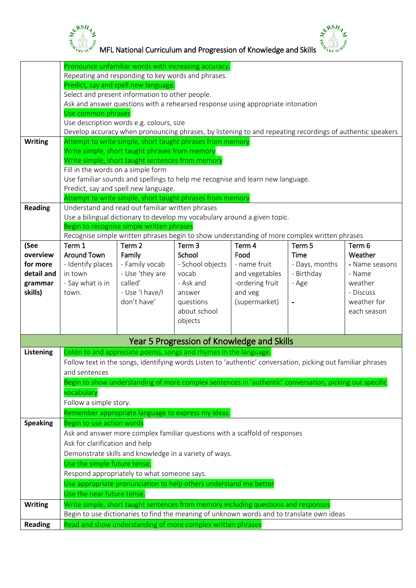



 $M_{\frac{2}{3}}$   $M_{\frac{2}{3}}$ <br>  $M_{\frac{2}{3}}$   $M_{\frac{2}{3}}$  MFL National Curriculum and Progression of Knowledge and Skills  $\frac{3}{3}$   $M_{\frac{2}{3}}$ 

|                  |                                                                                           |                                                  | Pronounce unfamiliar words with increasing accuracy.                                                         |                 |                |                |  |
|------------------|-------------------------------------------------------------------------------------------|--------------------------------------------------|--------------------------------------------------------------------------------------------------------------|-----------------|----------------|----------------|--|
|                  | Repeating and responding to key words and phrases.                                        |                                                  |                                                                                                              |                 |                |                |  |
|                  | Predict, say and spell new language.                                                      |                                                  |                                                                                                              |                 |                |                |  |
|                  | Select and present information to other people.                                           |                                                  |                                                                                                              |                 |                |                |  |
|                  |                                                                                           |                                                  | Ask and answer questions with a rehearsed response using appropriate intonation                              |                 |                |                |  |
|                  |                                                                                           |                                                  |                                                                                                              |                 |                |                |  |
|                  | Use common phrases                                                                        |                                                  |                                                                                                              |                 |                |                |  |
|                  |                                                                                           | Use description words e.g. colours, size         |                                                                                                              |                 |                |                |  |
|                  |                                                                                           |                                                  | Develop accuracy when pronouncing phrases, by listening to and repeating recordings of authentic speakers    |                 |                |                |  |
| <b>Writing</b>   |                                                                                           |                                                  | Attempt to write simple, short taught phrases from memory                                                    |                 |                |                |  |
|                  | Write simple, short taught phrases from memory                                            |                                                  |                                                                                                              |                 |                |                |  |
|                  | Write simple, short taught sentences from memory                                          |                                                  |                                                                                                              |                 |                |                |  |
|                  | Fill in the words on a simple form                                                        |                                                  |                                                                                                              |                 |                |                |  |
|                  |                                                                                           |                                                  | Use familiar sounds and spellings to help me recognise and learn new language.                               |                 |                |                |  |
|                  |                                                                                           |                                                  |                                                                                                              |                 |                |                |  |
|                  |                                                                                           | Predict, say and spell new language.             |                                                                                                              |                 |                |                |  |
|                  |                                                                                           |                                                  | Attempt to write simple, short taught phrases from memory                                                    |                 |                |                |  |
| <b>Reading</b>   |                                                                                           | Understand and read out familiar written phrases |                                                                                                              |                 |                |                |  |
|                  |                                                                                           |                                                  | Use a bilingual dictionary to develop my vocabulary around a given topic.                                    |                 |                |                |  |
|                  |                                                                                           | Begin to recognise simple written phrases        |                                                                                                              |                 |                |                |  |
|                  |                                                                                           |                                                  | Recognise simple written phrases begin to show understanding of more complex written phrases                 |                 |                |                |  |
| (See             | Term 1                                                                                    | Term 2                                           | Term <sub>3</sub>                                                                                            | Term 4          | Term 5         | Term 6         |  |
| overview         | <b>Around Town</b>                                                                        | Family                                           | School                                                                                                       | Food            | <b>Time</b>    | Weather        |  |
| for more         | - Identify places                                                                         | - Family vocab                                   | - School objects                                                                                             | - name fruit    | - Days, months | - Name seasons |  |
| detail and       | in town                                                                                   | - Use 'they are                                  | vocab                                                                                                        | and vegetables  | - Birthday     | - Name         |  |
|                  | - Say what is in                                                                          | called'                                          | - Ask and                                                                                                    | -ordering fruit |                | weather        |  |
| grammar          |                                                                                           |                                                  |                                                                                                              |                 | - Age          |                |  |
| skills)          | town.                                                                                     | - Use 'I have/I                                  | answer                                                                                                       | and veg         |                | - Discuss      |  |
|                  |                                                                                           | don't have'                                      | questions                                                                                                    | (supermarket)   |                | weather for    |  |
|                  |                                                                                           |                                                  | about school                                                                                                 |                 |                | each season    |  |
|                  |                                                                                           |                                                  | objects                                                                                                      |                 |                |                |  |
|                  |                                                                                           |                                                  |                                                                                                              |                 |                |                |  |
|                  |                                                                                           |                                                  | Year 5 Progression of Knowledge and Skills                                                                   |                 |                |                |  |
| <b>Listening</b> |                                                                                           |                                                  | Listen to and appreciate poems, songs and rhymes in the language.                                            |                 |                |                |  |
|                  |                                                                                           |                                                  | Follow text in the songs, identifying words Listen to 'authentic' conversation, picking out familiar phrases |                 |                |                |  |
|                  | and sentences                                                                             |                                                  |                                                                                                              |                 |                |                |  |
|                  |                                                                                           |                                                  | Begin to show understanding of more complex sentences in 'authentic' conversation, picking out specific      |                 |                |                |  |
|                  | vocabulary                                                                                |                                                  |                                                                                                              |                 |                |                |  |
|                  |                                                                                           |                                                  |                                                                                                              |                 |                |                |  |
|                  | Follow a simple story.                                                                    |                                                  |                                                                                                              |                 |                |                |  |
|                  | Remember appropriate language to express my ideas.                                        |                                                  |                                                                                                              |                 |                |                |  |
| <b>Speaking</b>  | Begin to use action words                                                                 |                                                  |                                                                                                              |                 |                |                |  |
|                  |                                                                                           |                                                  | Ask and answer more complex familiar questions with a scaffold of responses                                  |                 |                |                |  |
|                  | Ask for clarification and help                                                            |                                                  |                                                                                                              |                 |                |                |  |
|                  |                                                                                           |                                                  |                                                                                                              |                 |                |                |  |
|                  | Demonstrate skills and knowledge in a variety of ways.                                    |                                                  |                                                                                                              |                 |                |                |  |
|                  | Use the simple future tense.                                                              |                                                  |                                                                                                              |                 |                |                |  |
|                  | Respond appropriately to what someone says.                                               |                                                  |                                                                                                              |                 |                |                |  |
|                  | Use appropriate pronunciation to help others understand me better                         |                                                  |                                                                                                              |                 |                |                |  |
|                  | Use the near future tense.                                                                |                                                  |                                                                                                              |                 |                |                |  |
| <b>Writing</b>   | Write simple, short taught sentences from memory including questions and responses        |                                                  |                                                                                                              |                 |                |                |  |
|                  | Begin to use dictionaries to find the meaning of unknown words and to translate own ideas |                                                  |                                                                                                              |                 |                |                |  |
|                  | Read and show understanding of more complex written phrases                               |                                                  |                                                                                                              |                 |                |                |  |
| <b>Reading</b>   |                                                                                           |                                                  |                                                                                                              |                 |                |                |  |